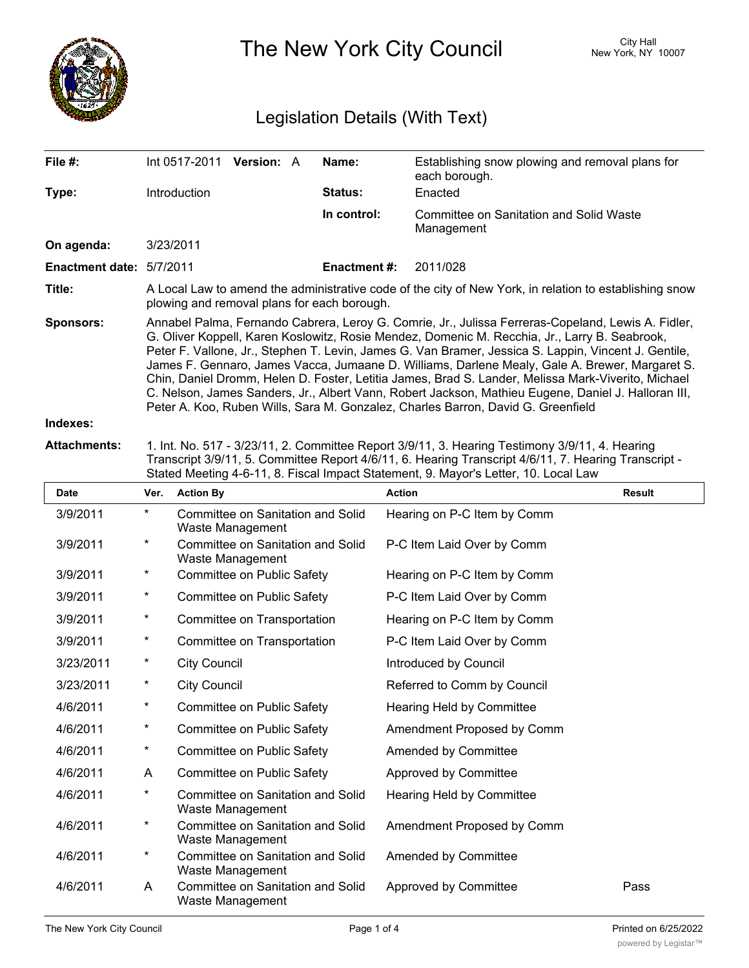

The New York City Council New York, NY 10007

## Legislation Details (With Text)

| File $#$ :               | Int 0517-2011                                                                                                                                                                                                                                                                                                                                                                                                                                                                                                                                                                                                                                                                                                  | <b>Version: A</b> |  | Name:               | Establishing snow plowing and removal plans for<br>each borough. |  |  |
|--------------------------|----------------------------------------------------------------------------------------------------------------------------------------------------------------------------------------------------------------------------------------------------------------------------------------------------------------------------------------------------------------------------------------------------------------------------------------------------------------------------------------------------------------------------------------------------------------------------------------------------------------------------------------------------------------------------------------------------------------|-------------------|--|---------------------|------------------------------------------------------------------|--|--|
| Type:                    | Introduction                                                                                                                                                                                                                                                                                                                                                                                                                                                                                                                                                                                                                                                                                                   |                   |  | Status:             | Enacted                                                          |  |  |
|                          |                                                                                                                                                                                                                                                                                                                                                                                                                                                                                                                                                                                                                                                                                                                |                   |  | In control:         | Committee on Sanitation and Solid Waste<br>Management            |  |  |
| On agenda:               | 3/23/2011                                                                                                                                                                                                                                                                                                                                                                                                                                                                                                                                                                                                                                                                                                      |                   |  |                     |                                                                  |  |  |
| Enactment date: 5/7/2011 |                                                                                                                                                                                                                                                                                                                                                                                                                                                                                                                                                                                                                                                                                                                |                   |  | <b>Enactment #:</b> | 2011/028                                                         |  |  |
| Title:                   | A Local Law to amend the administrative code of the city of New York, in relation to establishing snow<br>plowing and removal plans for each borough.                                                                                                                                                                                                                                                                                                                                                                                                                                                                                                                                                          |                   |  |                     |                                                                  |  |  |
| <b>Sponsors:</b>         | Annabel Palma, Fernando Cabrera, Leroy G. Comrie, Jr., Julissa Ferreras-Copeland, Lewis A. Fidler,<br>G. Oliver Koppell, Karen Koslowitz, Rosie Mendez, Domenic M. Recchia, Jr., Larry B. Seabrook,<br>Peter F. Vallone, Jr., Stephen T. Levin, James G. Van Bramer, Jessica S. Lappin, Vincent J. Gentile,<br>James F. Gennaro, James Vacca, Jumaane D. Williams, Darlene Mealy, Gale A. Brewer, Margaret S.<br>Chin, Daniel Dromm, Helen D. Foster, Letitia James, Brad S. Lander, Melissa Mark-Viverito, Michael<br>C. Nelson, James Sanders, Jr., Albert Vann, Robert Jackson, Mathieu Eugene, Daniel J. Halloran III,<br>Peter A. Koo, Ruben Wills, Sara M. Gonzalez, Charles Barron, David G. Greenfield |                   |  |                     |                                                                  |  |  |
| Indexes:                 |                                                                                                                                                                                                                                                                                                                                                                                                                                                                                                                                                                                                                                                                                                                |                   |  |                     |                                                                  |  |  |

**Attachments:** 1. Int. No. 517 - 3/23/11, 2. Committee Report 3/9/11, 3. Hearing Testimony 3/9/11, 4. Hearing Transcript 3/9/11, 5. Committee Report 4/6/11, 6. Hearing Transcript 4/6/11, 7. Hearing Transcript - Stated Meeting 4-6-11, 8. Fiscal Impact Statement, 9. Mayor's Letter, 10. Local Law

| <b>Date</b> | Ver.     | <b>Action By</b>                                      | <b>Action</b>               | Result |
|-------------|----------|-------------------------------------------------------|-----------------------------|--------|
| 3/9/2011    | $\star$  | Committee on Sanitation and Solid<br>Waste Management | Hearing on P-C Item by Comm |        |
| 3/9/2011    | $\star$  | Committee on Sanitation and Solid<br>Waste Management | P-C Item Laid Over by Comm  |        |
| 3/9/2011    | $^\ast$  | Committee on Public Safety                            | Hearing on P-C Item by Comm |        |
| 3/9/2011    | $\star$  | Committee on Public Safety                            | P-C Item Laid Over by Comm  |        |
| 3/9/2011    | $\ast$   | Committee on Transportation                           | Hearing on P-C Item by Comm |        |
| 3/9/2011    | $\star$  | Committee on Transportation                           | P-C Item Laid Over by Comm  |        |
| 3/23/2011   | $\star$  | <b>City Council</b>                                   | Introduced by Council       |        |
| 3/23/2011   | $\ast$   | <b>City Council</b>                                   | Referred to Comm by Council |        |
| 4/6/2011    | $\star$  | Committee on Public Safety                            | Hearing Held by Committee   |        |
| 4/6/2011    | $\ast$   | Committee on Public Safety                            | Amendment Proposed by Comm  |        |
| 4/6/2011    | $\star$  | Committee on Public Safety                            | Amended by Committee        |        |
| 4/6/2011    | A        | Committee on Public Safety                            | Approved by Committee       |        |
| 4/6/2011    | $\star$  | Committee on Sanitation and Solid<br>Waste Management | Hearing Held by Committee   |        |
| 4/6/2011    | $^\star$ | Committee on Sanitation and Solid<br>Waste Management | Amendment Proposed by Comm  |        |
| 4/6/2011    | $\star$  | Committee on Sanitation and Solid<br>Waste Management | Amended by Committee        |        |
| 4/6/2011    | A        | Committee on Sanitation and Solid<br>Waste Management | Approved by Committee       | Pass   |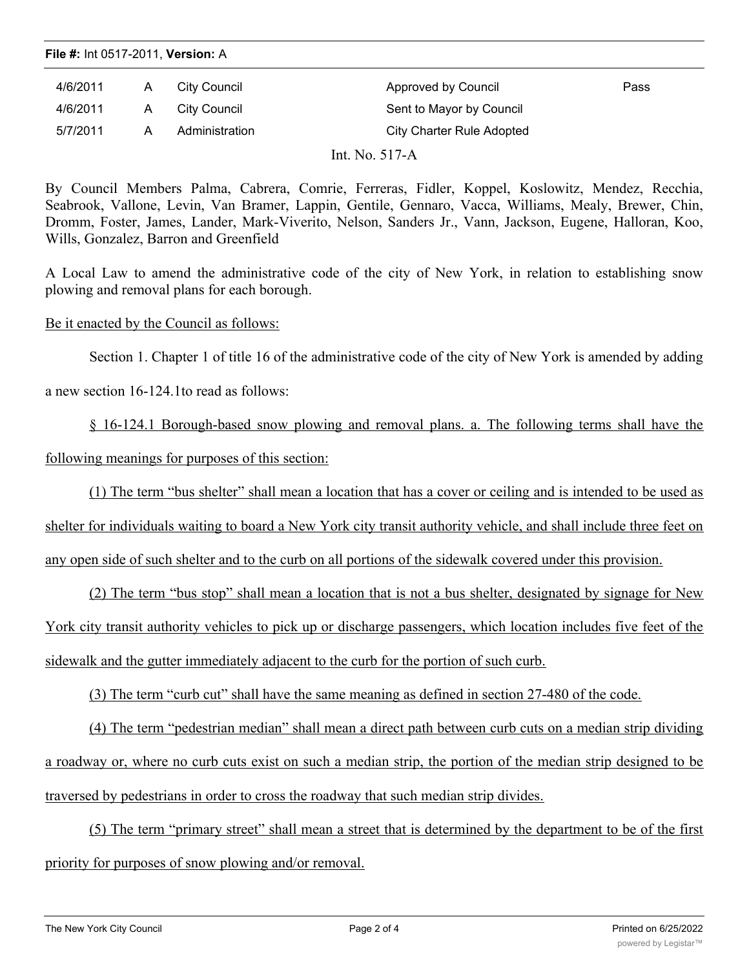**File #:** Int 0517-2011, **Version:** A

| 4/6/2011 | Α | City Council   | Approved by Council       | Pass |
|----------|---|----------------|---------------------------|------|
| 4/6/2011 | A | City Council   | Sent to Mayor by Council  |      |
| 5/7/2011 | А | Administration | City Charter Rule Adopted |      |
|          |   |                | Int. No. $517-A$          |      |

By Council Members Palma, Cabrera, Comrie, Ferreras, Fidler, Koppel, Koslowitz, Mendez, Recchia, Seabrook, Vallone, Levin, Van Bramer, Lappin, Gentile, Gennaro, Vacca, Williams, Mealy, Brewer, Chin, Dromm, Foster, James, Lander, Mark-Viverito, Nelson, Sanders Jr., Vann, Jackson, Eugene, Halloran, Koo, Wills, Gonzalez, Barron and Greenfield

A Local Law to amend the administrative code of the city of New York, in relation to establishing snow plowing and removal plans for each borough.

Be it enacted by the Council as follows:

Section 1. Chapter 1 of title 16 of the administrative code of the city of New York is amended by adding

a new section 16-124.1to read as follows:

§ 16-124.1 Borough-based snow plowing and removal plans. a. The following terms shall have the following meanings for purposes of this section:

(1) The term "bus shelter" shall mean a location that has a cover or ceiling and is intended to be used as

shelter for individuals waiting to board a New York city transit authority vehicle, and shall include three feet on

any open side of such shelter and to the curb on all portions of the sidewalk covered under this provision.

(2) The term "bus stop" shall mean a location that is not a bus shelter, designated by signage for New York city transit authority vehicles to pick up or discharge passengers, which location includes five feet of the sidewalk and the gutter immediately adjacent to the curb for the portion of such curb.

(3) The term "curb cut" shall have the same meaning as defined in section 27-480 of the code.

(4) The term "pedestrian median" shall mean a direct path between curb cuts on a median strip dividing a roadway or, where no curb cuts exist on such a median strip, the portion of the median strip designed to be traversed by pedestrians in order to cross the roadway that such median strip divides.

(5) The term "primary street" shall mean a street that is determined by the department to be of the first priority for purposes of snow plowing and/or removal.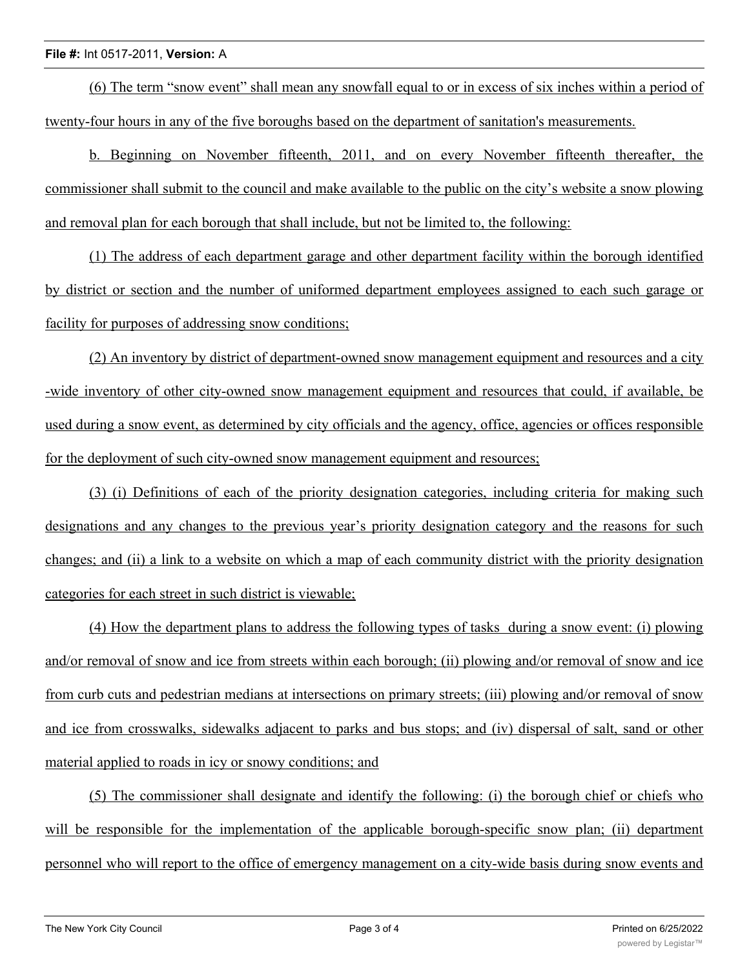## **File #:** Int 0517-2011, **Version:** A

(6) The term "snow event" shall mean any snowfall equal to or in excess of six inches within a period of twenty-four hours in any of the five boroughs based on the department of sanitation's measurements.

b. Beginning on November fifteenth, 2011, and on every November fifteenth thereafter, the commissioner shall submit to the council and make available to the public on the city's website a snow plowing and removal plan for each borough that shall include, but not be limited to, the following:

(1) The address of each department garage and other department facility within the borough identified by district or section and the number of uniformed department employees assigned to each such garage or facility for purposes of addressing snow conditions;

(2) An inventory by district of department-owned snow management equipment and resources and a city -wide inventory of other city-owned snow management equipment and resources that could, if available, be used during a snow event, as determined by city officials and the agency, office, agencies or offices responsible for the deployment of such city-owned snow management equipment and resources;

(3) (i) Definitions of each of the priority designation categories, including criteria for making such designations and any changes to the previous year's priority designation category and the reasons for such changes; and (ii) a link to a website on which a map of each community district with the priority designation categories for each street in such district is viewable;

(4) How the department plans to address the following types of tasks during a snow event: (i) plowing and/or removal of snow and ice from streets within each borough; (ii) plowing and/or removal of snow and ice from curb cuts and pedestrian medians at intersections on primary streets; (iii) plowing and/or removal of snow and ice from crosswalks, sidewalks adjacent to parks and bus stops; and (iv) dispersal of salt, sand or other material applied to roads in icy or snowy conditions; and

(5) The commissioner shall designate and identify the following: (i) the borough chief or chiefs who will be responsible for the implementation of the applicable borough-specific snow plan; (ii) department personnel who will report to the office of emergency management on a city-wide basis during snow events and